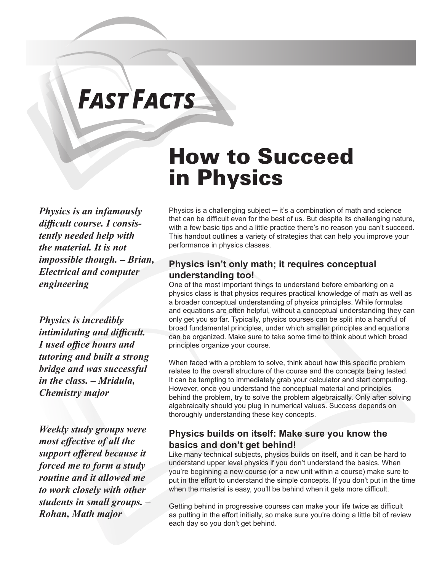# *FAST FACTS*

*Physics is an infamously difficult course. I consistently needed help with the material. It is not impossible though. ─ Brian, Electrical and computer engineering*

*Physics is incredibly intimidating and difficult. I used office hours and tutoring and built a strong bridge and was successful in the class. ─ Mridula, Chemistry major*

*Weekly study groups were most effective of all the support offered because it forced me to form a study routine and it allowed me to work closely with other students in small groups. ─ Rohan, Math major*

# How to Succeed in Physics

Physics is a challenging subject ─ it's a combination of math and science that can be difficult even for the best of us. But despite its challenging nature, with a few basic tips and a little practice there's no reason you can't succeed. This handout outlines a variety of strategies that can help you improve your performance in physics classes.

#### **Physics isn't only math; it requires conceptual understanding too!**

One of the most important things to understand before embarking on a physics class is that physics requires practical knowledge of math as well as a broader conceptual understanding of physics principles. While formulas and equations are often helpful, without a conceptual understanding they can only get you so far. Typically, physics courses can be split into a handful of broad fundamental principles, under which smaller principles and equations can be organized. Make sure to take some time to think about which broad principles organize your course.

When faced with a problem to solve, think about how this specific problem relates to the overall structure of the course and the concepts being tested. It can be tempting to immediately grab your calculator and start computing. However, once you understand the conceptual material and principles behind the problem, try to solve the problem algebraically. Only after solving algebraically should you plug in numerical values. Success depends on thoroughly understanding these key concepts.

#### **Physics builds on itself: Make sure you know the basics and don't get behind!**

Like many technical subjects, physics builds on itself, and it can be hard to understand upper level physics if you don't understand the basics. When you're beginning a new course (or a new unit within a course) make sure to put in the effort to understand the simple concepts. If you don't put in the time when the material is easy, you'll be behind when it gets more difficult.

Getting behind in progressive courses can make your life twice as difficult as putting in the effort initially, so make sure you're doing a little bit of review each day so you don't get behind.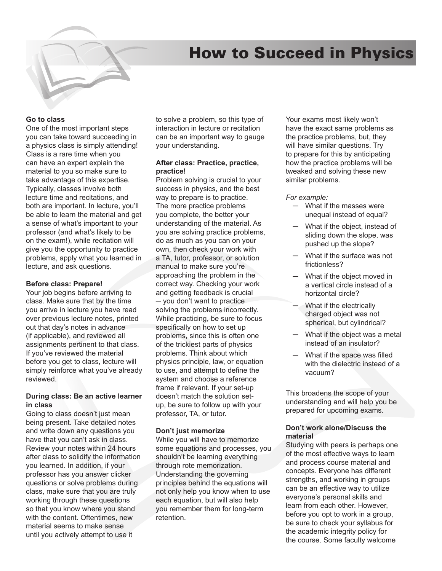## How to Succeed in Physics



One of the most important steps you can take toward succeeding in a physics class is simply attending! Class is a rare time when you can have an expert explain the material to you so make sure to take advantage of this expertise. Typically, classes involve both lecture time and recitations, and both are important. In lecture, you'll be able to learn the material and get a sense of what's important to your professor (and what's likely to be on the exam!), while recitation will give you the opportunity to practice problems, apply what you learned in lecture, and ask questions.

#### **Before class: Prepare!**

Your job begins before arriving to class. Make sure that by the time you arrive in lecture you have read over previous lecture notes, printed out that day's notes in advance (if applicable), and reviewed all assignments pertinent to that class. If you've reviewed the material before you get to class, lecture will simply reinforce what you've already reviewed.

#### **During class: Be an active learner in class**

Going to class doesn't just mean being present. Take detailed notes and write down any questions you have that you can't ask in class. Review your notes within 24 hours after class to solidify the information you learned. In addition, if your professor has you answer clicker questions or solve problems during class, make sure that you are truly working through these questions so that you know where you stand with the content. Oftentimes, new material seems to make sense until you actively attempt to use it

to solve a problem, so this type of interaction in lecture or recitation can be an important way to gauge your understanding.

#### **After class: Practice, practice, practice!**

Problem solving is crucial to your success in physics, and the best way to prepare is to practice. The more practice problems you complete, the better your understanding of the material. As you are solving practice problems, do as much as you can on your own, then check your work with a TA, tutor, professor, or solution manual to make sure you're approaching the problem in the correct way. Checking your work and getting feedback is crucial ─ you don't want to practice solving the problems incorrectly. While practicing, be sure to focus specifically on how to set up problems, since this is often one of the trickiest parts of physics problems. Think about which physics principle, law, or equation to use, and attempt to define the system and choose a reference frame if relevant. If your set-up doesn't match the solution setup, be sure to follow up with your professor, TA, or tutor.

#### **Don't just memorize**

While you will have to memorize some equations and processes, you shouldn't be learning everything through rote memorization. Understanding the governing principles behind the equations will not only help you know when to use each equation, but will also help you remember them for long-term retention.

Your exams most likely won't have the exact same problems as the practice problems, but, they will have similar questions. Try to prepare for this by anticipating how the practice problems will be tweaked and solving these new similar problems.

#### *For example:*

- ─ What if the masses were unequal instead of equal?
- What if the object, instead of sliding down the slope, was pushed up the slope?
- What if the surface was not frictionless?
- ─ What if the object moved in a vertical circle instead of a horizontal circle?
- What if the electrically charged object was not spherical, but cylindrical?
- ─ What if the object was a metal instead of an insulator?
- What if the space was filled with the dielectric instead of a vacuum?

This broadens the scope of your understanding and will help you be prepared for upcoming exams.

#### **Don't work alone/Discuss the material**

Studying with peers is perhaps one of the most effective ways to learn and process course material and concepts. Everyone has different strengths, and working in groups can be an effective way to utilize everyone's personal skills and learn from each other. However, before you opt to work in a group, be sure to check your syllabus for the academic integrity policy for the course. Some faculty welcome